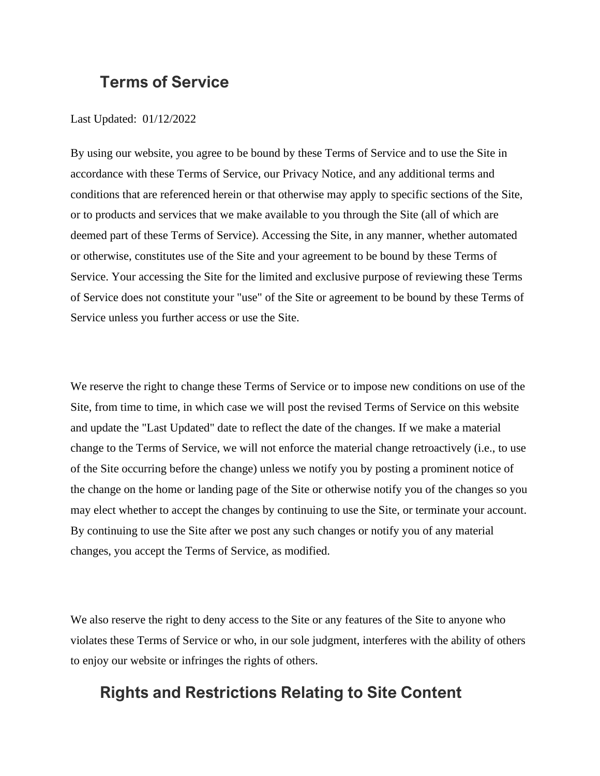# **Terms of Service**

Last Updated: 01/12/2022

By using our website, you agree to be bound by these Terms of Service and to use the Site in accordance with these Terms of Service, our [Privacy Notice,](https://cm.usatoday.com/privacy) and any additional terms and conditions that are referenced herein or that otherwise may apply to specific sections of the Site, or to products and services that we make available to you through the Site (all of which are deemed part of these Terms of Service). Accessing the Site, in any manner, whether automated or otherwise, constitutes use of the Site and your agreement to be bound by these Terms of Service. Your accessing the Site for the limited and exclusive purpose of reviewing these Terms of Service does not constitute your "use" of the Site or agreement to be bound by these Terms of Service unless you further access or use the Site.

We reserve the right to change these Terms of Service or to impose new conditions on use of the Site, from time to time, in which case we will post the revised Terms of Service on this website and update the "Last Updated" date to reflect the date of the changes. If we make a material change to the Terms of Service, we will not enforce the material change retroactively (i.e., to use of the Site occurring before the change) unless we notify you by posting a prominent notice of the change on the home or landing page of the Site or otherwise notify you of the changes so you may elect whether to accept the changes by continuing to use the Site, or terminate your account. By continuing to use the Site after we post any such changes or notify you of any material changes, you accept the Terms of Service, as modified.

We also reserve the right to deny access to the Site or any features of the Site to anyone who violates these Terms of Service or who, in our sole judgment, interferes with the ability of others to enjoy our website or infringes the rights of others.

## **Rights and Restrictions Relating to Site Content**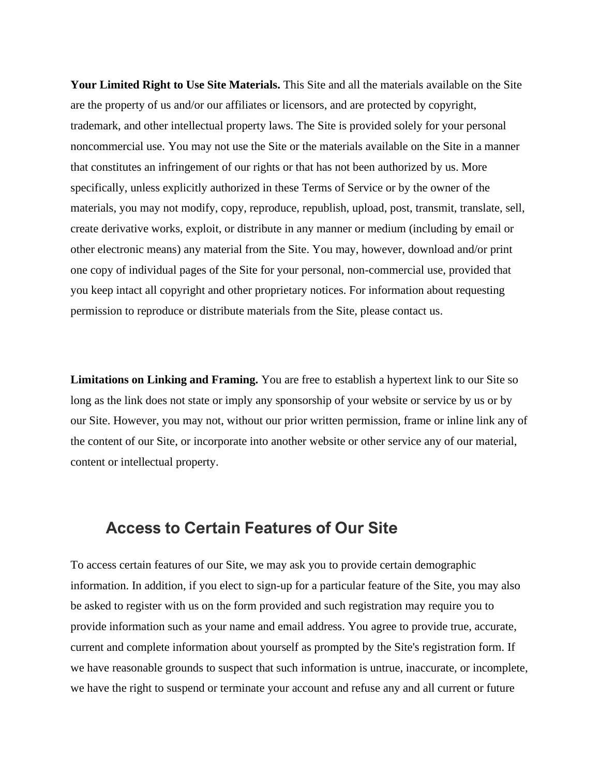**Your Limited Right to Use Site Materials.** This Site and all the materials available on the Site are the property of us and/or our affiliates or licensors, and are protected by copyright, trademark, and other intellectual property laws. The Site is provided solely for your personal noncommercial use. You may not use the Site or the materials available on the Site in a manner that constitutes an infringement of our rights or that has not been authorized by us. More specifically, unless explicitly authorized in these Terms of Service or by the owner of the materials, you may not modify, copy, reproduce, republish, upload, post, transmit, translate, sell, create derivative works, exploit, or distribute in any manner or medium (including by email or other electronic means) any material from the Site. You may, however, download and/or print one copy of individual pages of the Site for your personal, non-commercial use, provided that you keep intact all copyright and other proprietary notices. For information about requesting permission to reproduce or distribute materials from the Site, please contact us.

**Limitations on Linking and Framing.** You are free to establish a hypertext link to our Site so long as the link does not state or imply any sponsorship of your website or service by us or by our Site. However, you may not, without our prior written permission, frame or inline link any of the content of our Site, or incorporate into another website or other service any of our material, content or intellectual property.

#### **Access to Certain Features of Our Site**

To access certain features of our Site, we may ask you to provide certain demographic information. In addition, if you elect to sign-up for a particular feature of the Site, you may also be asked to register with us on the form provided and such registration may require you to provide information such as your name and email address. You agree to provide true, accurate, current and complete information about yourself as prompted by the Site's registration form. If we have reasonable grounds to suspect that such information is untrue, inaccurate, or incomplete, we have the right to suspend or terminate your account and refuse any and all current or future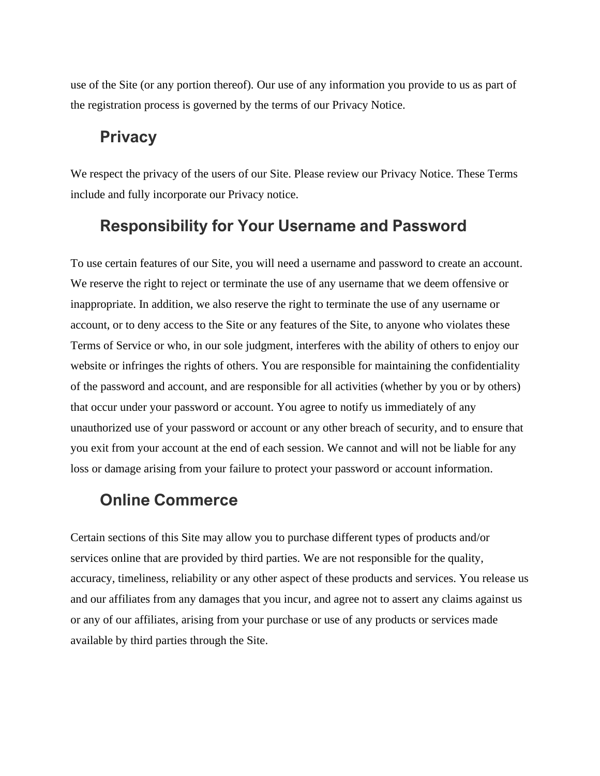use of the Site (or any portion thereof). Our use of any information you provide to us as part of the registration process is governed by the terms of our [Privacy Notice.](https://cm.usatoday.com/privacy)

#### **Privacy**

We respect the privacy of the users of our Site. Please review our [Privacy Notice.](https://cm.usatoday.com/privacy) These Terms include and fully incorporate our Privacy notice.

# **Responsibility for Your Username and Password**

To use certain features of our Site, you will need a username and password to create an account. We reserve the right to reject or terminate the use of any username that we deem offensive or inappropriate. In addition, we also reserve the right to terminate the use of any username or account, or to deny access to the Site or any features of the Site, to anyone who violates these Terms of Service or who, in our sole judgment, interferes with the ability of others to enjoy our website or infringes the rights of others. You are responsible for maintaining the confidentiality of the password and account, and are responsible for all activities (whether by you or by others) that occur under your password or account. You agree to notify us immediately of any unauthorized use of your password or account or any other breach of security, and to ensure that you exit from your account at the end of each session. We cannot and will not be liable for any loss or damage arising from your failure to protect your password or account information.

## **Online Commerce**

Certain sections of this Site may allow you to purchase different types of products and/or services online that are provided by third parties. We are not responsible for the quality, accuracy, timeliness, reliability or any other aspect of these products and services. You release us and our affiliates from any damages that you incur, and agree not to assert any claims against us or any of our affiliates, arising from your purchase or use of any products or services made available by third parties through the Site.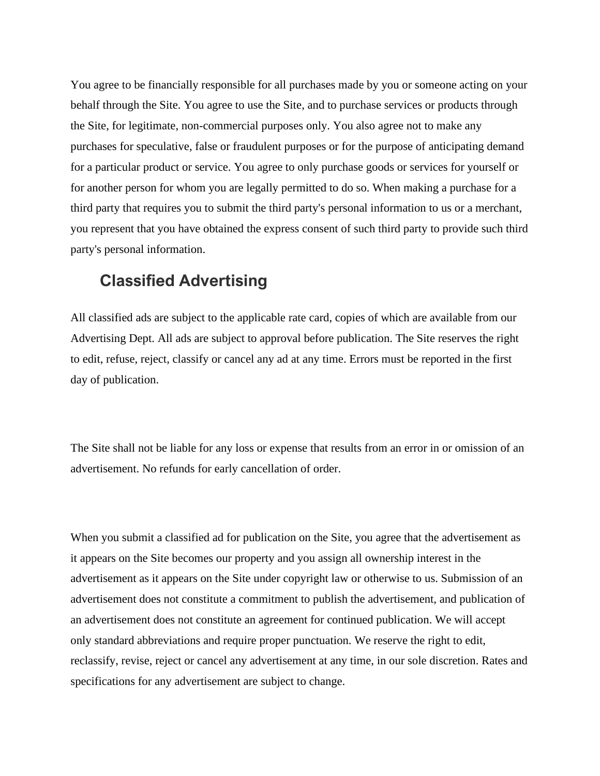You agree to be financially responsible for all purchases made by you or someone acting on your behalf through the Site. You agree to use the Site, and to purchase services or products through the Site, for legitimate, non-commercial purposes only. You also agree not to make any purchases for speculative, false or fraudulent purposes or for the purpose of anticipating demand for a particular product or service. You agree to only purchase goods or services for yourself or for another person for whom you are legally permitted to do so. When making a purchase for a third party that requires you to submit the third party's personal information to us or a merchant, you represent that you have obtained the express consent of such third party to provide such third party's personal information.

#### **Classified Advertising**

All classified ads are subject to the applicable rate card, copies of which are available from our Advertising Dept. All ads are subject to approval before publication. The Site reserves the right to edit, refuse, reject, classify or cancel any ad at any time. Errors must be reported in the first day of publication.

The Site shall not be liable for any loss or expense that results from an error in or omission of an advertisement. No refunds for early cancellation of order.

When you submit a classified ad for publication on the Site, you agree that the advertisement as it appears on the Site becomes our property and you assign all ownership interest in the advertisement as it appears on the Site under copyright law or otherwise to us. Submission of an advertisement does not constitute a commitment to publish the advertisement, and publication of an advertisement does not constitute an agreement for continued publication. We will accept only standard abbreviations and require proper punctuation. We reserve the right to edit, reclassify, revise, reject or cancel any advertisement at any time, in our sole discretion. Rates and specifications for any advertisement are subject to change.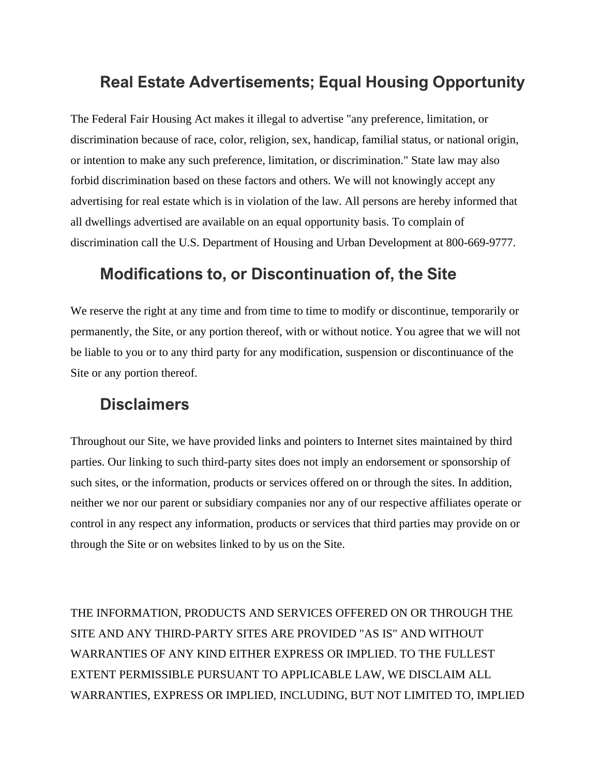## **Real Estate Advertisements; Equal Housing Opportunity**

The Federal Fair Housing Act makes it illegal to advertise "any preference, limitation, or discrimination because of race, color, religion, sex, handicap, familial status, or national origin, or intention to make any such preference, limitation, or discrimination." State law may also forbid discrimination based on these factors and others. We will not knowingly accept any advertising for real estate which is in violation of the law. All persons are hereby informed that all dwellings advertised are available on an equal opportunity basis. To complain of discrimination call the U.S. Department of Housing and Urban Development at 800-669-9777.

#### **Modifications to, or Discontinuation of, the Site**

We reserve the right at any time and from time to time to modify or discontinue, temporarily or permanently, the Site, or any portion thereof, with or without notice. You agree that we will not be liable to you or to any third party for any modification, suspension or discontinuance of the Site or any portion thereof.

#### **Disclaimers**

Throughout our Site, we have provided links and pointers to Internet sites maintained by third parties. Our linking to such third-party sites does not imply an endorsement or sponsorship of such sites, or the information, products or services offered on or through the sites. In addition, neither we nor our parent or subsidiary companies nor any of our respective affiliates operate or control in any respect any information, products or services that third parties may provide on or through the Site or on websites linked to by us on the Site.

THE INFORMATION, PRODUCTS AND SERVICES OFFERED ON OR THROUGH THE SITE AND ANY THIRD-PARTY SITES ARE PROVIDED "AS IS" AND WITHOUT WARRANTIES OF ANY KIND EITHER EXPRESS OR IMPLIED. TO THE FULLEST EXTENT PERMISSIBLE PURSUANT TO APPLICABLE LAW, WE DISCLAIM ALL WARRANTIES, EXPRESS OR IMPLIED, INCLUDING, BUT NOT LIMITED TO, IMPLIED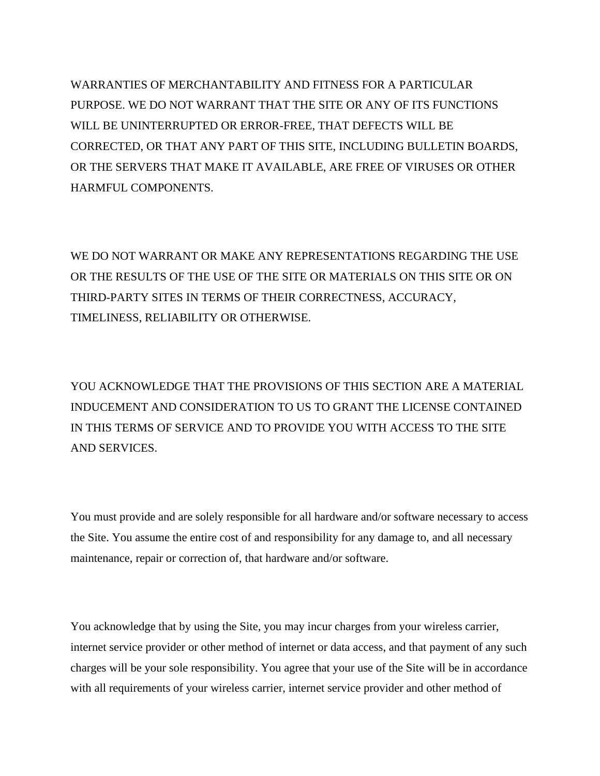WARRANTIES OF MERCHANTABILITY AND FITNESS FOR A PARTICULAR PURPOSE. WE DO NOT WARRANT THAT THE SITE OR ANY OF ITS FUNCTIONS WILL BE UNINTERRUPTED OR ERROR-FREE, THAT DEFECTS WILL BE CORRECTED, OR THAT ANY PART OF THIS SITE, INCLUDING BULLETIN BOARDS, OR THE SERVERS THAT MAKE IT AVAILABLE, ARE FREE OF VIRUSES OR OTHER HARMFUL COMPONENTS.

WE DO NOT WARRANT OR MAKE ANY REPRESENTATIONS REGARDING THE USE OR THE RESULTS OF THE USE OF THE SITE OR MATERIALS ON THIS SITE OR ON THIRD-PARTY SITES IN TERMS OF THEIR CORRECTNESS, ACCURACY, TIMELINESS, RELIABILITY OR OTHERWISE.

YOU ACKNOWLEDGE THAT THE PROVISIONS OF THIS SECTION ARE A MATERIAL INDUCEMENT AND CONSIDERATION TO US TO GRANT THE LICENSE CONTAINED IN THIS TERMS OF SERVICE AND TO PROVIDE YOU WITH ACCESS TO THE SITE AND SERVICES.

You must provide and are solely responsible for all hardware and/or software necessary to access the Site. You assume the entire cost of and responsibility for any damage to, and all necessary maintenance, repair or correction of, that hardware and/or software.

You acknowledge that by using the Site, you may incur charges from your wireless carrier, internet service provider or other method of internet or data access, and that payment of any such charges will be your sole responsibility. You agree that your use of the Site will be in accordance with all requirements of your wireless carrier, internet service provider and other method of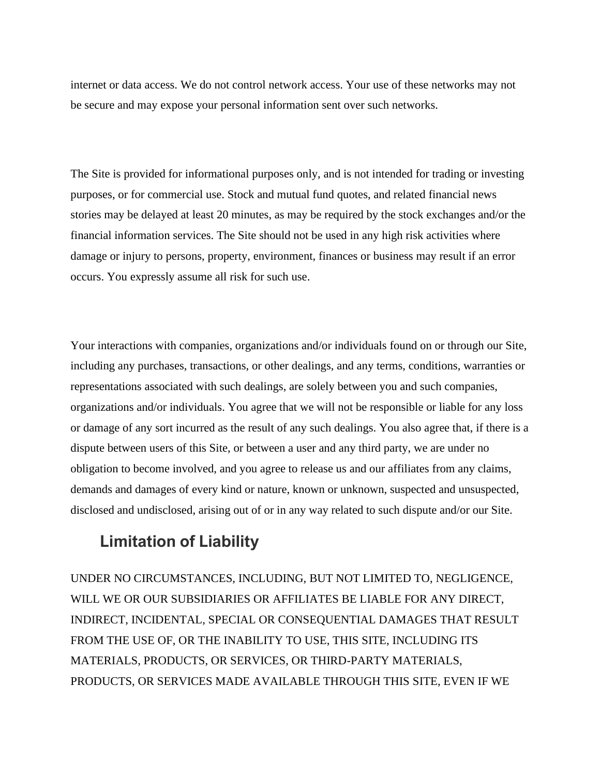internet or data access. We do not control network access. Your use of these networks may not be secure and may expose your personal information sent over such networks.

The Site is provided for informational purposes only, and is not intended for trading or investing purposes, or for commercial use. Stock and mutual fund quotes, and related financial news stories may be delayed at least 20 minutes, as may be required by the stock exchanges and/or the financial information services. The Site should not be used in any high risk activities where damage or injury to persons, property, environment, finances or business may result if an error occurs. You expressly assume all risk for such use.

Your interactions with companies, organizations and/or individuals found on or through our Site, including any purchases, transactions, or other dealings, and any terms, conditions, warranties or representations associated with such dealings, are solely between you and such companies, organizations and/or individuals. You agree that we will not be responsible or liable for any loss or damage of any sort incurred as the result of any such dealings. You also agree that, if there is a dispute between users of this Site, or between a user and any third party, we are under no obligation to become involved, and you agree to release us and our affiliates from any claims, demands and damages of every kind or nature, known or unknown, suspected and unsuspected, disclosed and undisclosed, arising out of or in any way related to such dispute and/or our Site.

# **Limitation of Liability**

UNDER NO CIRCUMSTANCES, INCLUDING, BUT NOT LIMITED TO, NEGLIGENCE, WILL WE OR OUR SUBSIDIARIES OR AFFILIATES BE LIABLE FOR ANY DIRECT, INDIRECT, INCIDENTAL, SPECIAL OR CONSEQUENTIAL DAMAGES THAT RESULT FROM THE USE OF, OR THE INABILITY TO USE, THIS SITE, INCLUDING ITS MATERIALS, PRODUCTS, OR SERVICES, OR THIRD-PARTY MATERIALS, PRODUCTS, OR SERVICES MADE AVAILABLE THROUGH THIS SITE, EVEN IF WE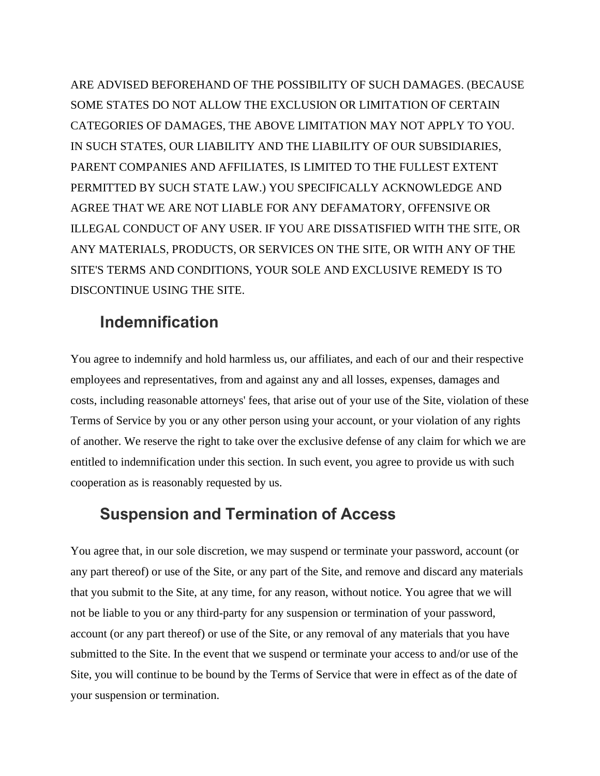ARE ADVISED BEFOREHAND OF THE POSSIBILITY OF SUCH DAMAGES. (BECAUSE SOME STATES DO NOT ALLOW THE EXCLUSION OR LIMITATION OF CERTAIN CATEGORIES OF DAMAGES, THE ABOVE LIMITATION MAY NOT APPLY TO YOU. IN SUCH STATES, OUR LIABILITY AND THE LIABILITY OF OUR SUBSIDIARIES, PARENT COMPANIES AND AFFILIATES, IS LIMITED TO THE FULLEST EXTENT PERMITTED BY SUCH STATE LAW.) YOU SPECIFICALLY ACKNOWLEDGE AND AGREE THAT WE ARE NOT LIABLE FOR ANY DEFAMATORY, OFFENSIVE OR ILLEGAL CONDUCT OF ANY USER. IF YOU ARE DISSATISFIED WITH THE SITE, OR ANY MATERIALS, PRODUCTS, OR SERVICES ON THE SITE, OR WITH ANY OF THE SITE'S TERMS AND CONDITIONS, YOUR SOLE AND EXCLUSIVE REMEDY IS TO DISCONTINUE USING THE SITE.

## **Indemnification**

You agree to indemnify and hold harmless us, our affiliates, and each of our and their respective employees and representatives, from and against any and all losses, expenses, damages and costs, including reasonable attorneys' fees, that arise out of your use of the Site, violation of these Terms of Service by you or any other person using your account, or your violation of any rights of another. We reserve the right to take over the exclusive defense of any claim for which we are entitled to indemnification under this section. In such event, you agree to provide us with such cooperation as is reasonably requested by us.

## **Suspension and Termination of Access**

You agree that, in our sole discretion, we may suspend or terminate your password, account (or any part thereof) or use of the Site, or any part of the Site, and remove and discard any materials that you submit to the Site, at any time, for any reason, without notice. You agree that we will not be liable to you or any third-party for any suspension or termination of your password, account (or any part thereof) or use of the Site, or any removal of any materials that you have submitted to the Site. In the event that we suspend or terminate your access to and/or use of the Site, you will continue to be bound by the Terms of Service that were in effect as of the date of your suspension or termination.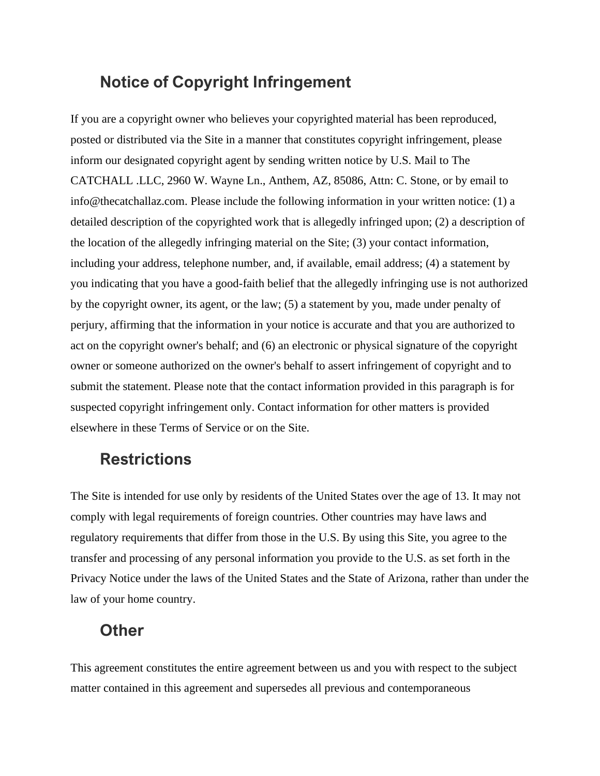# **Notice of Copyright Infringement**

If you are a copyright owner who believes your copyrighted material has been reproduced, posted or distributed via the Site in a manner that constitutes copyright infringement, please inform our designated copyright agent by sending written notice by U.S. Mail to The CATCHALL .LLC, 2960 W. Wayne Ln., Anthem, AZ, 85086, Attn: C. Stone, or by email to info@thecatchallaz.com. Please include the following information in your written notice: (1) a detailed description of the copyrighted work that is allegedly infringed upon; (2) a description of the location of the allegedly infringing material on the Site; (3) your contact information, including your address, telephone number, and, if available, email address; (4) a statement by you indicating that you have a good-faith belief that the allegedly infringing use is not authorized by the copyright owner, its agent, or the law; (5) a statement by you, made under penalty of perjury, affirming that the information in your notice is accurate and that you are authorized to act on the copyright owner's behalf; and (6) an electronic or physical signature of the copyright owner or someone authorized on the owner's behalf to assert infringement of copyright and to submit the statement. Please note that the contact information provided in this paragraph is for suspected copyright infringement only. Contact information for other matters is provided elsewhere in these Terms of Service or on the Site.

#### **Restrictions**

The Site is intended for use only by residents of the United States over the age of 13. It may not comply with legal requirements of foreign countries. Other countries may have laws and regulatory requirements that differ from those in the U.S. By using this Site, you agree to the transfer and processing of any personal information you provide to the U.S. as set forth in the Privacy Notice under the laws of the United States and the State of Arizona, rather than under the law of your home country.

#### **Other**

This agreement constitutes the entire agreement between us and you with respect to the subject matter contained in this agreement and supersedes all previous and contemporaneous